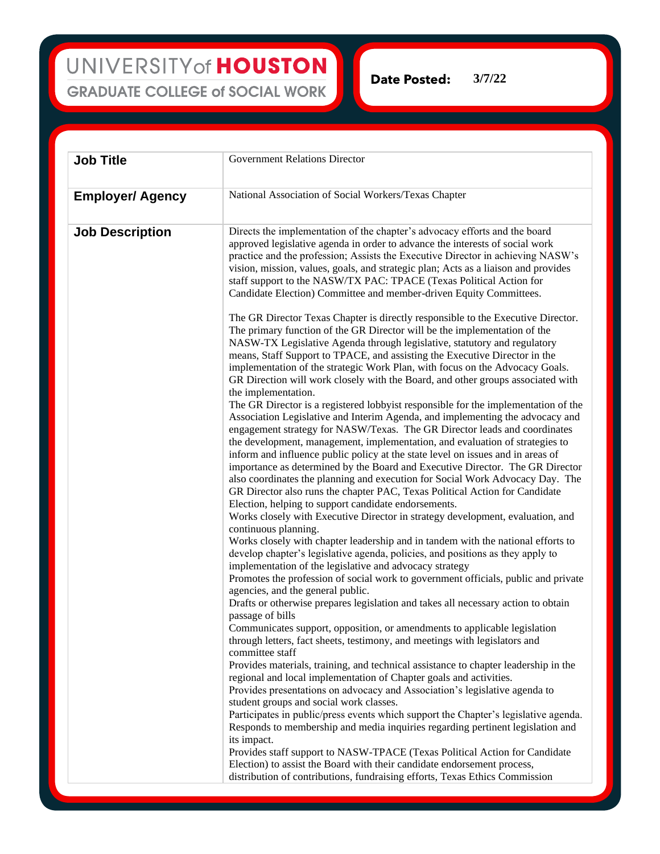UNIVERSITY of HOUSTON **GRADUATE COLLEGE of SOCIAL WORK** 

**Date Posted: 3/7/22**

| <b>Job Title</b>        | Government Relations Director                                                                                                                                                                                                                                                                                                                                                                                                                                                                                                                                                                                                                                                                                                                                                                                                                                                                                                                                                                                                                                                                                                                                                                                                                                                                                                                                                                                                                                                                                                                                                                                                                                                                                                                                                                                                                                                                                                                                                                                                                                                                                                                                                                                                                                                                                                                                                                                                                                                                                                                                                                                                                                                                                                                                                                                                                                                                                                                                                                                                                                                                                                             |
|-------------------------|-------------------------------------------------------------------------------------------------------------------------------------------------------------------------------------------------------------------------------------------------------------------------------------------------------------------------------------------------------------------------------------------------------------------------------------------------------------------------------------------------------------------------------------------------------------------------------------------------------------------------------------------------------------------------------------------------------------------------------------------------------------------------------------------------------------------------------------------------------------------------------------------------------------------------------------------------------------------------------------------------------------------------------------------------------------------------------------------------------------------------------------------------------------------------------------------------------------------------------------------------------------------------------------------------------------------------------------------------------------------------------------------------------------------------------------------------------------------------------------------------------------------------------------------------------------------------------------------------------------------------------------------------------------------------------------------------------------------------------------------------------------------------------------------------------------------------------------------------------------------------------------------------------------------------------------------------------------------------------------------------------------------------------------------------------------------------------------------------------------------------------------------------------------------------------------------------------------------------------------------------------------------------------------------------------------------------------------------------------------------------------------------------------------------------------------------------------------------------------------------------------------------------------------------------------------------------------------------------------------------------------------------------------------------------------------------------------------------------------------------------------------------------------------------------------------------------------------------------------------------------------------------------------------------------------------------------------------------------------------------------------------------------------------------------------------------------------------------------------------------------------------------|
| <b>Employer/ Agency</b> | National Association of Social Workers/Texas Chapter                                                                                                                                                                                                                                                                                                                                                                                                                                                                                                                                                                                                                                                                                                                                                                                                                                                                                                                                                                                                                                                                                                                                                                                                                                                                                                                                                                                                                                                                                                                                                                                                                                                                                                                                                                                                                                                                                                                                                                                                                                                                                                                                                                                                                                                                                                                                                                                                                                                                                                                                                                                                                                                                                                                                                                                                                                                                                                                                                                                                                                                                                      |
| <b>Job Description</b>  | Directs the implementation of the chapter's advocacy efforts and the board<br>approved legislative agenda in order to advance the interests of social work<br>practice and the profession; Assists the Executive Director in achieving NASW's<br>vision, mission, values, goals, and strategic plan; Acts as a liaison and provides<br>staff support to the NASW/TX PAC: TPACE (Texas Political Action for<br>Candidate Election) Committee and member-driven Equity Committees.<br>The GR Director Texas Chapter is directly responsible to the Executive Director.<br>The primary function of the GR Director will be the implementation of the<br>NASW-TX Legislative Agenda through legislative, statutory and regulatory<br>means, Staff Support to TPACE, and assisting the Executive Director in the<br>implementation of the strategic Work Plan, with focus on the Advocacy Goals.<br>GR Direction will work closely with the Board, and other groups associated with<br>the implementation.<br>The GR Director is a registered lobbyist responsible for the implementation of the<br>Association Legislative and Interim Agenda, and implementing the advocacy and<br>engagement strategy for NASW/Texas. The GR Director leads and coordinates<br>the development, management, implementation, and evaluation of strategies to<br>inform and influence public policy at the state level on issues and in areas of<br>importance as determined by the Board and Executive Director. The GR Director<br>also coordinates the planning and execution for Social Work Advocacy Day. The<br>GR Director also runs the chapter PAC, Texas Political Action for Candidate<br>Election, helping to support candidate endorsements.<br>Works closely with Executive Director in strategy development, evaluation, and<br>continuous planning.<br>Works closely with chapter leadership and in tandem with the national efforts to<br>develop chapter's legislative agenda, policies, and positions as they apply to<br>implementation of the legislative and advocacy strategy<br>Promotes the profession of social work to government officials, public and private<br>agencies, and the general public.<br>Drafts or otherwise prepares legislation and takes all necessary action to obtain<br>passage of bills<br>Communicates support, opposition, or amendments to applicable legislation<br>through letters, fact sheets, testimony, and meetings with legislators and<br>committee staff<br>Provides materials, training, and technical assistance to chapter leadership in the<br>regional and local implementation of Chapter goals and activities.<br>Provides presentations on advocacy and Association's legislative agenda to<br>student groups and social work classes.<br>Participates in public/press events which support the Chapter's legislative agenda.<br>Responds to membership and media inquiries regarding pertinent legislation and<br>its impact.<br>Provides staff support to NASW-TPACE (Texas Political Action for Candidate<br>Election) to assist the Board with their candidate endorsement process, |
|                         | distribution of contributions, fundraising efforts, Texas Ethics Commission                                                                                                                                                                                                                                                                                                                                                                                                                                                                                                                                                                                                                                                                                                                                                                                                                                                                                                                                                                                                                                                                                                                                                                                                                                                                                                                                                                                                                                                                                                                                                                                                                                                                                                                                                                                                                                                                                                                                                                                                                                                                                                                                                                                                                                                                                                                                                                                                                                                                                                                                                                                                                                                                                                                                                                                                                                                                                                                                                                                                                                                               |